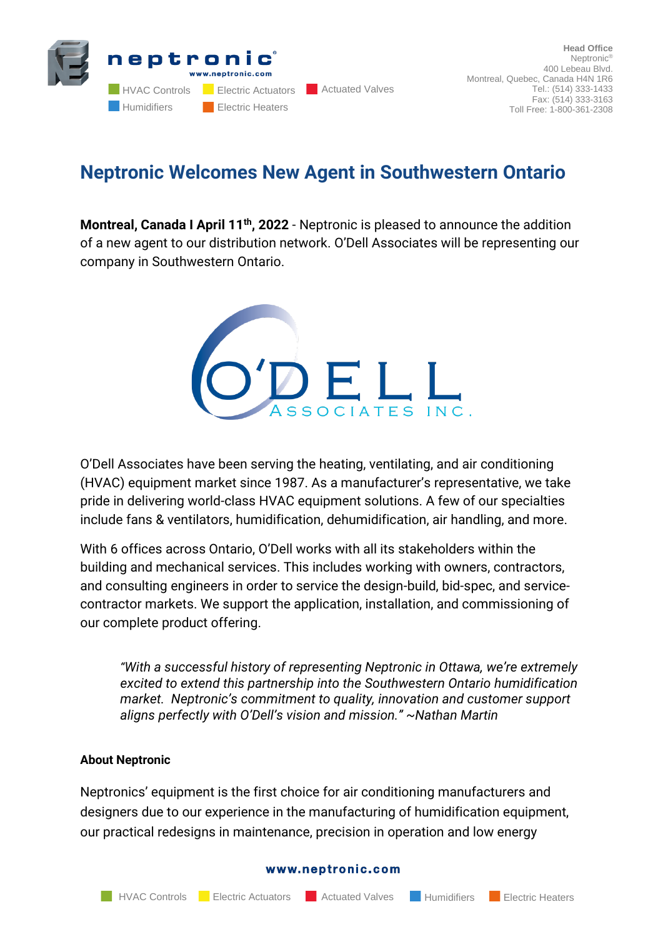

## **Neptronic Welcomes New Agent in Southwestern Ontario**

**Montreal, Canada I April 11th, 2022** - Neptronic is pleased to announce the addition of a new agent to our distribution network. O'Dell Associates will be representing our company in Southwestern Ontario.



O'Dell Associates have been serving the heating, ventilating, and air conditioning (HVAC) equipment market since 1987. As a manufacturer's representative, we take pride in delivering world-class HVAC equipment solutions. A few of our specialties include fans & ventilators, humidification, dehumidification, air handling, and more.

With 6 offices across Ontario, O'Dell works with all its stakeholders within the building and mechanical services. This includes working with owners, contractors, and consulting engineers in order to service the design-build, bid-spec, and servicecontractor markets. We support the application, installation, and commissioning of our complete product offering.

*"With a successful history of representing Neptronic in Ottawa, we're extremely excited to extend this partnership into the Southwestern Ontario humidification market. Neptronic's commitment to quality, innovation and customer support aligns perfectly with O'Dell's vision and mission." ~Nathan Martin*

## **About Neptronic**

Neptronics' equipment is the first choice for air conditioning manufacturers and designers due to our experience in the manufacturing of humidification equipment, our practical redesigns in maintenance, precision in operation and low energy

## www.neptronic.com